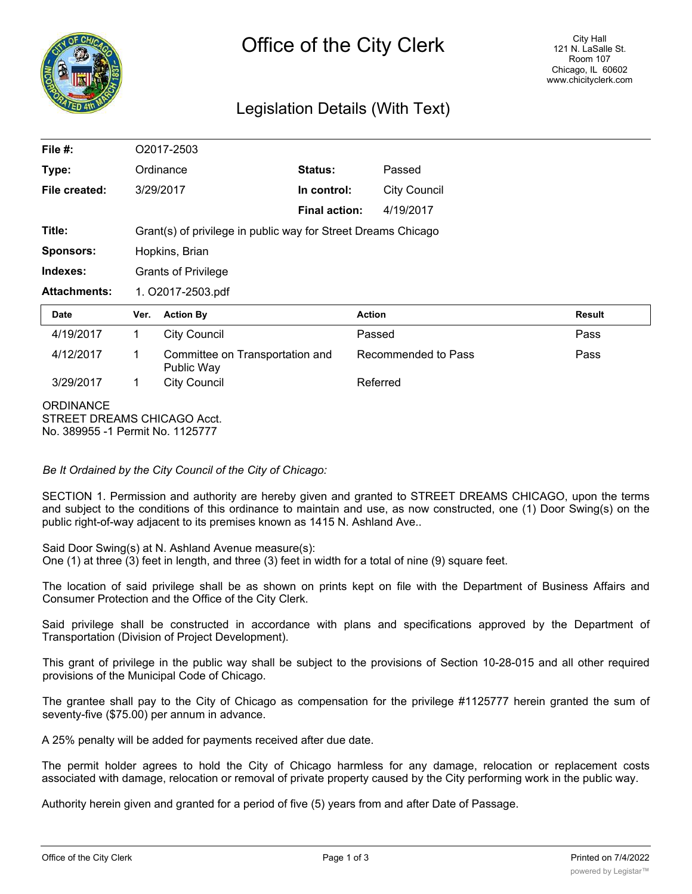

# Legislation Details (With Text)

| File #:                                                                             |                            | O2017-2503                                                    |                      |                     |               |  |
|-------------------------------------------------------------------------------------|----------------------------|---------------------------------------------------------------|----------------------|---------------------|---------------|--|
| Type:                                                                               | Ordinance                  |                                                               | Status:              | Passed              |               |  |
| File created:                                                                       |                            | 3/29/2017                                                     | In control:          | <b>City Council</b> |               |  |
|                                                                                     |                            |                                                               | <b>Final action:</b> | 4/19/2017           |               |  |
| Title:                                                                              |                            | Grant(s) of privilege in public way for Street Dreams Chicago |                      |                     |               |  |
| <b>Sponsors:</b>                                                                    |                            | Hopkins, Brian                                                |                      |                     |               |  |
| Indexes:                                                                            | <b>Grants of Privilege</b> |                                                               |                      |                     |               |  |
| <b>Attachments:</b>                                                                 | 1. O2017-2503.pdf          |                                                               |                      |                     |               |  |
| <b>Date</b>                                                                         | Ver.                       | <b>Action By</b>                                              |                      | <b>Action</b>       | <b>Result</b> |  |
| 4/19/2017                                                                           | 1                          | <b>City Council</b>                                           |                      | Passed              | Pass          |  |
| 4/12/2017                                                                           | 1                          | Committee on Transportation and<br>Public Way                 |                      | Recommended to Pass | Pass          |  |
| 3/29/2017                                                                           | $\mathbf 1$                | <b>City Council</b>                                           |                      | Referred            |               |  |
| <b>ORDINANCE</b><br>STREET DREAMS CHICAGO Acct.<br>No. 389955 -1 Permit No. 1125777 |                            |                                                               |                      |                     |               |  |

*Be It Ordained by the City Council of the City of Chicago:*

SECTION 1. Permission and authority are hereby given and granted to STREET DREAMS CHICAGO, upon the terms and subject to the conditions of this ordinance to maintain and use, as now constructed, one (1) Door Swing(s) on the public right-of-way adjacent to its premises known as 1415 N. Ashland Ave..

Said Door Swing(s) at N. Ashland Avenue measure(s):

One (1) at three (3) feet in length, and three (3) feet in width for a total of nine (9) square feet.

The location of said privilege shall be as shown on prints kept on file with the Department of Business Affairs and Consumer Protection and the Office of the City Clerk.

Said privilege shall be constructed in accordance with plans and specifications approved by the Department of Transportation (Division of Project Development).

This grant of privilege in the public way shall be subject to the provisions of Section 10-28-015 and all other required provisions of the Municipal Code of Chicago.

The grantee shall pay to the City of Chicago as compensation for the privilege #1125777 herein granted the sum of seventy-five (\$75.00) per annum in advance.

A 25% penalty will be added for payments received after due date.

The permit holder agrees to hold the City of Chicago harmless for any damage, relocation or replacement costs associated with damage, relocation or removal of private property caused by the City performing work in the public way.

Authority herein given and granted for a period of five (5) years from and after Date of Passage.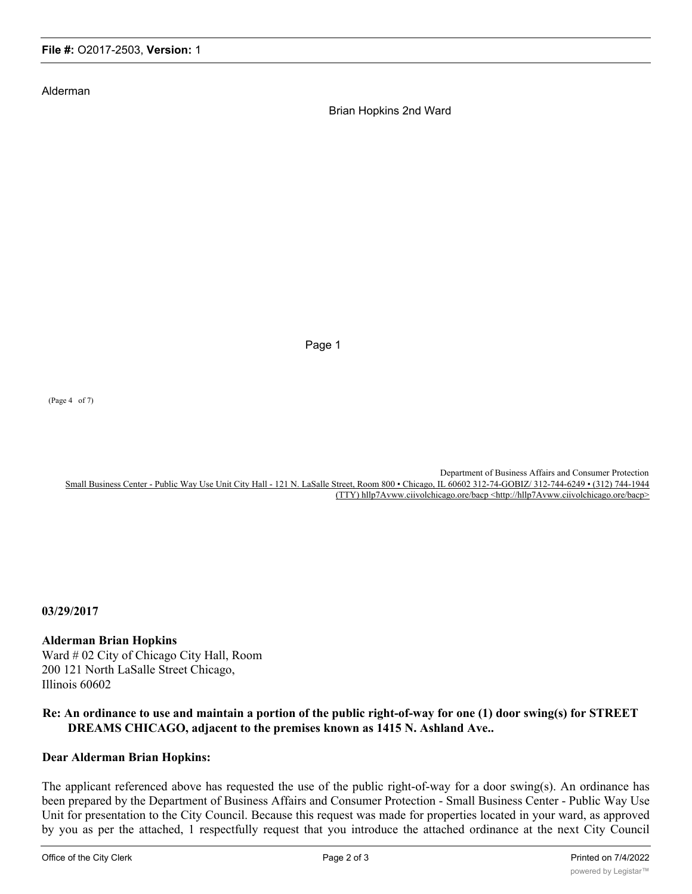#### Alderman

Brian Hopkins 2nd Ward

Page 1

(Page 4 of 7)

Department of Business Affairs and Consumer Protection Small Business Center - Public Way Use Unit City Hall - 121 N. LaSalle Street, Room 800 • Chicago, IL 60602 312-74-GOBIZ/ 312-744-6249 • (312) 744-1944 (TTY) hllp7Avww.ciivolchicago.ore/bacp <http://hllp7Avww.ciivolchicago.ore/bacp>

**03/29/2017**

### **Alderman Brian Hopkins**

Ward # 02 City of Chicago City Hall, Room 200 121 North LaSalle Street Chicago, Illinois 60602

## **Re: An ordinance to use and maintain a portion of the public right-of-way for one (1) door swing(s) for STREET DREAMS CHICAGO, adjacent to the premises known as 1415 N. Ashland Ave..**

#### **Dear Alderman Brian Hopkins:**

The applicant referenced above has requested the use of the public right-of-way for a door swing(s). An ordinance has been prepared by the Department of Business Affairs and Consumer Protection - Small Business Center - Public Way Use Unit for presentation to the City Council. Because this request was made for properties located in your ward, as approved by you as per the attached, 1 respectfully request that you introduce the attached ordinance at the next City Council